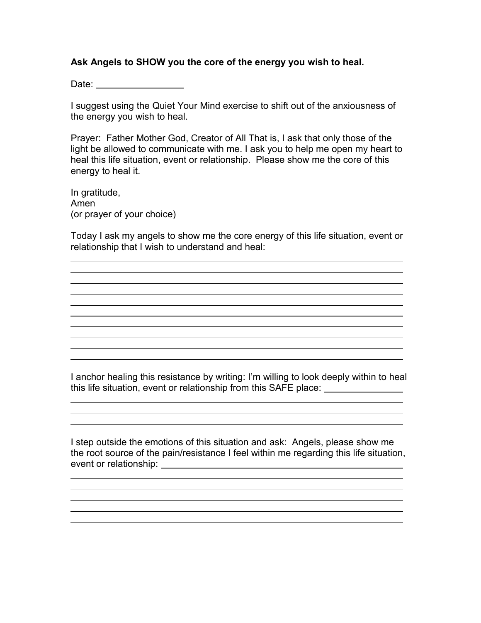## **Ask Angels to SHOW you the core of the energy you wish to heal.**

Date: New York Planning

I suggest using the Quiet Your Mind exercise to shift out of the anxiousness of the energy you wish to heal.

Prayer: Father Mother God, Creator of All That is, I ask that only those of the light be allowed to communicate with me. I ask you to help me open my heart to heal this life situation, event or relationship. Please show me the core of this energy to heal it.

In gratitude, Amen (or prayer of your choice)

 $\overline{a}$ 

 $\overline{a}$ 

 $\overline{a}$ 

Today I ask my angels to show me the core energy of this life situation, event or relationship that I wish to understand and heal: \_\_\_\_\_\_\_\_\_\_\_\_\_\_\_\_\_\_\_\_\_\_\_\_\_\_\_\_\_\_\_

and the control of the control of the control of the control of the control of the control of the control of the

I anchor healing this resistance by writing: I'm willing to look deeply within to heal this life situation, event or relationship from this SAFE place:

<u> 1989 - Jan Salaman Salaman (j. 1989)</u>

I step outside the emotions of this situation and ask: Angels, please show me the root source of the pain/resistance I feel within me regarding this life situation, event or relationship: event of relationship: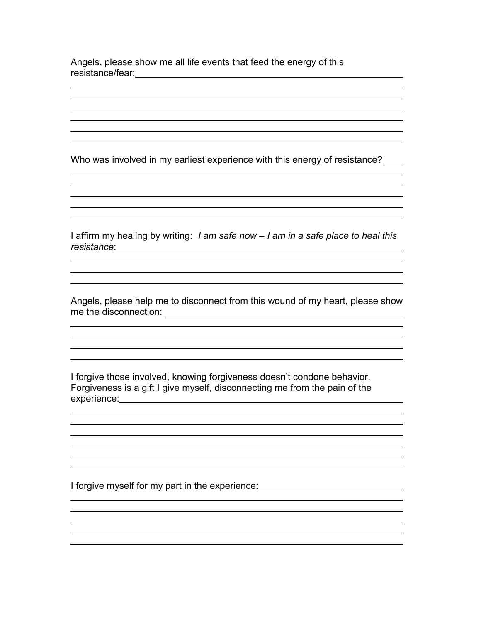Angels, please show me all life events that feed the energy of this resistance/fear:

 $\overline{a}$ 

 $\overline{a}$ 

 $\overline{a}$ 

 $\overline{a}$ 

Who was involved in my earliest experience with this energy of resistance?

<u> 1989 - Johann Stoff, amerikansk politiker (\* 1908)</u>

the control of the control of the control of the control of the control of the control of the control of the control of the control of the control of the control of the control of the control of the control of the control and the control of the control of the control of the control of the control of the control of the control of the

<u> 1989 - Johann Barn, mars ann an t-Amhain Aonaich an t-Aonaich an t-Aonaich ann an t-Aonaich ann an t-Aonaich</u>

<u> 1989 - Johann Barbara, martxa alemaniar argumento de la contrada de la contrada de la contrada de la contrad</u>

<u> 1989 - Johann Barn, mars and de Brasilian (b. 1989)</u>

I affirm my healing by writing: *I am safe now – I am in a safe place to heal this resistance*:

Angels, please help me to disconnect from this wound of my heart, please show me the disconnection:

I forgive those involved, knowing forgiveness doesn't condone behavior. Forgiveness is a gift I give myself, disconnecting me from the pain of the experience:

I forgive myself for my part in the experience: \_\_\_\_\_\_\_\_\_\_\_\_\_\_\_\_\_\_\_\_\_\_\_\_\_\_\_\_\_\_\_\_